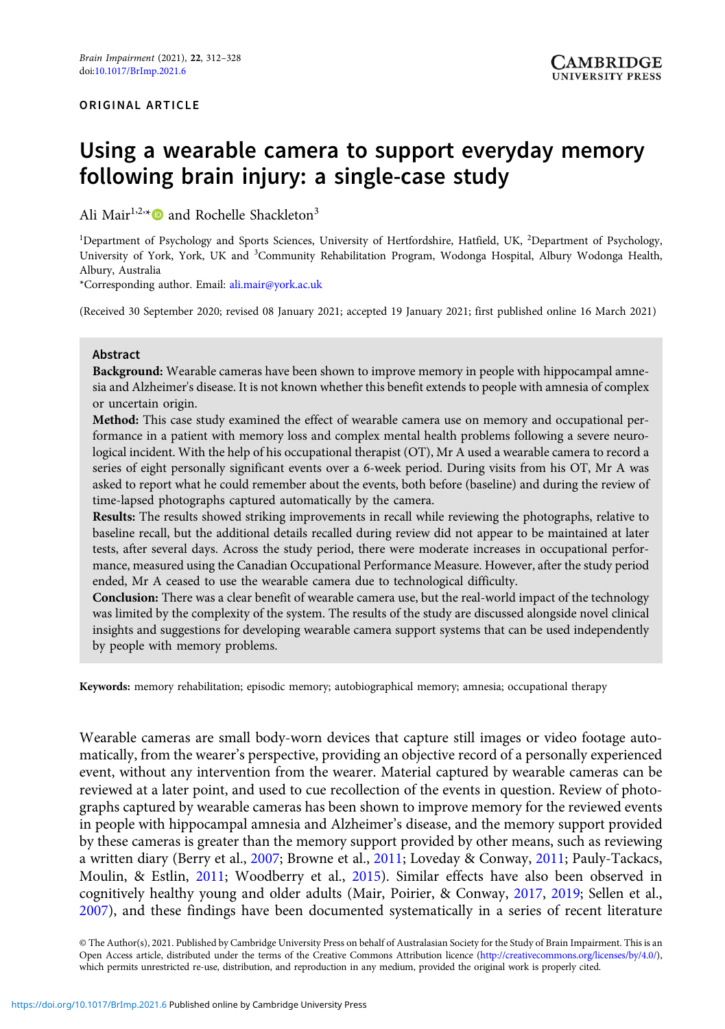# Using a wearable camera to support everyday memory following brain injury: a single-case study

Ali Mair<sup>1,2,\*</sup><sup>1</sup> and Rochelle Shackleton<sup>3</sup>

<sup>1</sup>Department of Psychology and Sports Sciences, University of Hertfordshire, Hatfield, UK, <sup>2</sup>Department of Psychology, University of York, York, UK and <sup>3</sup>Community Rehabilitation Program, Wodonga Hospital, Albury Wodonga Health, Albury, Australia

\*Corresponding author. Email: [ali.mair@york.ac.uk](mailto:ali.mair@york.ac.uk)

(Received 30 September 2020; revised 08 January 2021; accepted 19 January 2021; first published online 16 March 2021)

#### Abstract

Background: Wearable cameras have been shown to improve memory in people with hippocampal amnesia and Alzheimer's disease. It is not known whether this benefit extends to people with amnesia of complex or uncertain origin.

Method: This case study examined the effect of wearable camera use on memory and occupational performance in a patient with memory loss and complex mental health problems following a severe neurological incident. With the help of his occupational therapist (OT), Mr A used a wearable camera to record a series of eight personally significant events over a 6-week period. During visits from his OT, Mr A was asked to report what he could remember about the events, both before (baseline) and during the review of time-lapsed photographs captured automatically by the camera.

Results: The results showed striking improvements in recall while reviewing the photographs, relative to baseline recall, but the additional details recalled during review did not appear to be maintained at later tests, after several days. Across the study period, there were moderate increases in occupational performance, measured using the Canadian Occupational Performance Measure. However, after the study period ended, Mr A ceased to use the wearable camera due to technological difficulty.

Conclusion: There was a clear benefit of wearable camera use, but the real-world impact of the technology was limited by the complexity of the system. The results of the study are discussed alongside novel clinical insights and suggestions for developing wearable camera support systems that can be used independently by people with memory problems.

Keywords: memory rehabilitation; episodic memory; autobiographical memory; amnesia; occupational therapy

Wearable cameras are small body-worn devices that capture still images or video footage automatically, from the wearer's perspective, providing an objective record of a personally experienced event, without any intervention from the wearer. Material captured by wearable cameras can be reviewed at a later point, and used to cue recollection of the events in question. Review of photographs captured by wearable cameras has been shown to improve memory for the reviewed events in people with hippocampal amnesia and Alzheimer's disease, and the memory support provided by these cameras is greater than the memory support provided by other means, such as reviewing a written diary (Berry et al., [2007](#page-14-0); Browne et al., [2011;](#page-14-0) Loveday & Conway, [2011](#page-15-0); Pauly-Tackacs, Moulin, & Estlin, [2011;](#page-15-0) Woodberry et al., [2015](#page-16-0)). Similar effects have also been observed in cognitively healthy young and older adults (Mair, Poirier, & Conway, [2017](#page-15-0), [2019;](#page-15-0) Sellen et al., [2007\)](#page-15-0), and these findings have been documented systematically in a series of recent literature

© The Author(s), 2021. Published by Cambridge University Press on behalf of Australasian Society for the Study of Brain Impairment. This is an Open Access article, distributed under the terms of the Creative Commons Attribution licence ([http://creativecommons.org/licenses/by/4.0/\)](http://creativecommons.org/licenses/by/4.0/), which permits unrestricted re-use, distribution, and reproduction in any medium, provided the original work is properly cited.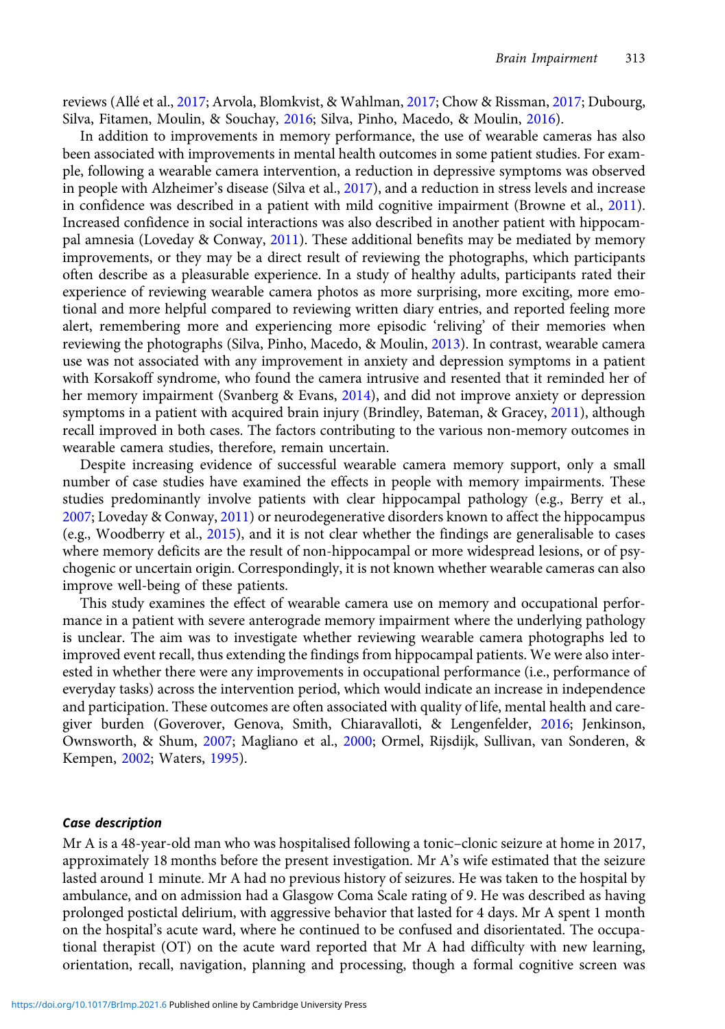reviews (Allé et al., [2017](#page-14-0); Arvola, Blomkvist, & Wahlman, [2017;](#page-14-0) Chow & Rissman, [2017;](#page-14-0) Dubourg, Silva, Fitamen, Moulin, & Souchay, [2016;](#page-15-0) Silva, Pinho, Macedo, & Moulin, [2016](#page-15-0)).

In addition to improvements in memory performance, the use of wearable cameras has also been associated with improvements in mental health outcomes in some patient studies. For example, following a wearable camera intervention, a reduction in depressive symptoms was observed in people with Alzheimer's disease (Silva et al., [2017\)](#page-15-0), and a reduction in stress levels and increase in confidence was described in a patient with mild cognitive impairment (Browne et al., [2011](#page-14-0)). Increased confidence in social interactions was also described in another patient with hippocampal amnesia (Loveday & Conway, [2011\)](#page-15-0). These additional benefits may be mediated by memory improvements, or they may be a direct result of reviewing the photographs, which participants often describe as a pleasurable experience. In a study of healthy adults, participants rated their experience of reviewing wearable camera photos as more surprising, more exciting, more emotional and more helpful compared to reviewing written diary entries, and reported feeling more alert, remembering more and experiencing more episodic 'reliving' of their memories when reviewing the photographs (Silva, Pinho, Macedo, & Moulin, [2013](#page-15-0)). In contrast, wearable camera use was not associated with any improvement in anxiety and depression symptoms in a patient with Korsakoff syndrome, who found the camera intrusive and resented that it reminded her of her memory impairment (Svanberg & Evans, [2014](#page-15-0)), and did not improve anxiety or depression symptoms in a patient with acquired brain injury (Brindley, Bateman, & Gracey, [2011\)](#page-14-0), although recall improved in both cases. The factors contributing to the various non-memory outcomes in wearable camera studies, therefore, remain uncertain.

Despite increasing evidence of successful wearable camera memory support, only a small number of case studies have examined the effects in people with memory impairments. These studies predominantly involve patients with clear hippocampal pathology (e.g., Berry et al., [2007](#page-14-0); Loveday & Conway, [2011\)](#page-15-0) or neurodegenerative disorders known to affect the hippocampus (e.g., Woodberry et al., [2015](#page-16-0)), and it is not clear whether the findings are generalisable to cases where memory deficits are the result of non-hippocampal or more widespread lesions, or of psychogenic or uncertain origin. Correspondingly, it is not known whether wearable cameras can also improve well-being of these patients.

This study examines the effect of wearable camera use on memory and occupational performance in a patient with severe anterograde memory impairment where the underlying pathology is unclear. The aim was to investigate whether reviewing wearable camera photographs led to improved event recall, thus extending the findings from hippocampal patients. We were also interested in whether there were any improvements in occupational performance (i.e., performance of everyday tasks) across the intervention period, which would indicate an increase in independence and participation. These outcomes are often associated with quality of life, mental health and caregiver burden (Goverover, Genova, Smith, Chiaravalloti, & Lengenfelder, [2016;](#page-15-0) Jenkinson, Ownsworth, & Shum, [2007;](#page-15-0) Magliano et al., [2000](#page-15-0); Ormel, Rijsdijk, Sullivan, van Sonderen, & Kempen, [2002](#page-15-0); Waters, [1995\)](#page-16-0).

#### Case description

Mr A is a 48-year-old man who was hospitalised following a tonic–clonic seizure at home in 2017, approximately 18 months before the present investigation. Mr A's wife estimated that the seizure lasted around 1 minute. Mr A had no previous history of seizures. He was taken to the hospital by ambulance, and on admission had a Glasgow Coma Scale rating of 9. He was described as having prolonged postictal delirium, with aggressive behavior that lasted for 4 days. Mr A spent 1 month on the hospital's acute ward, where he continued to be confused and disorientated. The occupational therapist (OT) on the acute ward reported that Mr A had difficulty with new learning, orientation, recall, navigation, planning and processing, though a formal cognitive screen was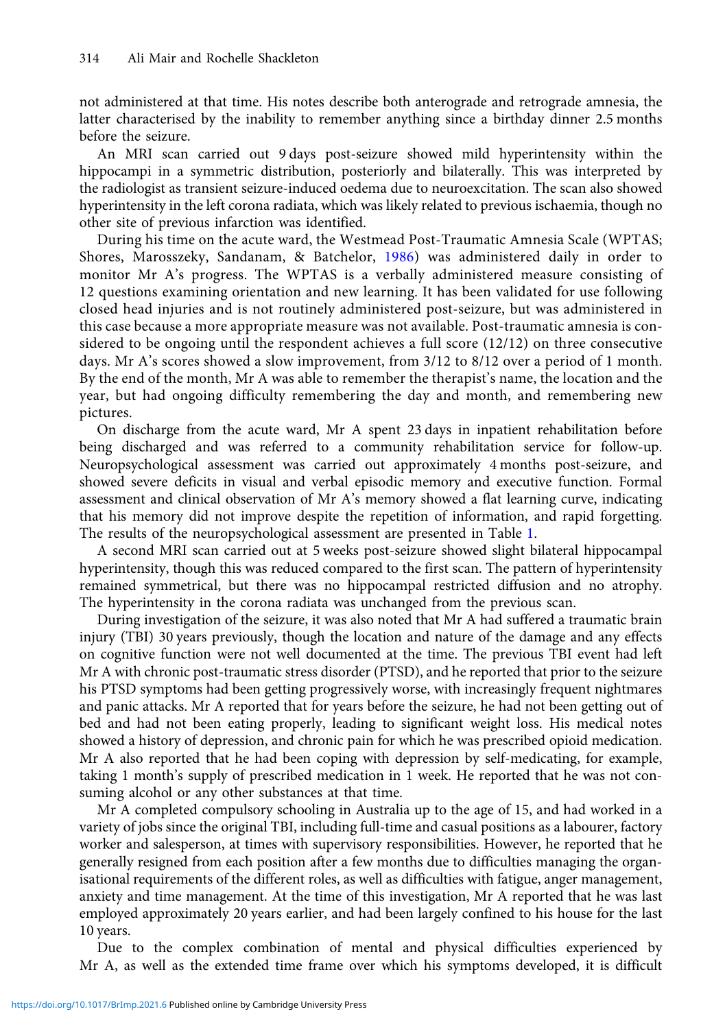not administered at that time. His notes describe both anterograde and retrograde amnesia, the latter characterised by the inability to remember anything since a birthday dinner 2.5 months before the seizure.

An MRI scan carried out 9 days post-seizure showed mild hyperintensity within the hippocampi in a symmetric distribution, posteriorly and bilaterally. This was interpreted by the radiologist as transient seizure-induced oedema due to neuroexcitation. The scan also showed hyperintensity in the left corona radiata, which was likely related to previous ischaemia, though no other site of previous infarction was identified.

During his time on the acute ward, the Westmead Post-Traumatic Amnesia Scale (WPTAS; Shores, Marosszeky, Sandanam, & Batchelor, [1986\)](#page-15-0) was administered daily in order to monitor Mr A's progress. The WPTAS is a verbally administered measure consisting of 12 questions examining orientation and new learning. It has been validated for use following closed head injuries and is not routinely administered post-seizure, but was administered in this case because a more appropriate measure was not available. Post-traumatic amnesia is considered to be ongoing until the respondent achieves a full score (12/12) on three consecutive days. Mr A's scores showed a slow improvement, from 3/12 to 8/12 over a period of 1 month. By the end of the month, Mr A was able to remember the therapist's name, the location and the year, but had ongoing difficulty remembering the day and month, and remembering new pictures.

On discharge from the acute ward, Mr A spent 23 days in inpatient rehabilitation before being discharged and was referred to a community rehabilitation service for follow-up. Neuropsychological assessment was carried out approximately 4 months post-seizure, and showed severe deficits in visual and verbal episodic memory and executive function. Formal assessment and clinical observation of Mr A's memory showed a flat learning curve, indicating that his memory did not improve despite the repetition of information, and rapid forgetting. The results of the neuropsychological assessment are presented in Table [1](#page-3-0).

A second MRI scan carried out at 5 weeks post-seizure showed slight bilateral hippocampal hyperintensity, though this was reduced compared to the first scan. The pattern of hyperintensity remained symmetrical, but there was no hippocampal restricted diffusion and no atrophy. The hyperintensity in the corona radiata was unchanged from the previous scan.

During investigation of the seizure, it was also noted that Mr A had suffered a traumatic brain injury (TBI) 30 years previously, though the location and nature of the damage and any effects on cognitive function were not well documented at the time. The previous TBI event had left Mr A with chronic post-traumatic stress disorder (PTSD), and he reported that prior to the seizure his PTSD symptoms had been getting progressively worse, with increasingly frequent nightmares and panic attacks. Mr A reported that for years before the seizure, he had not been getting out of bed and had not been eating properly, leading to significant weight loss. His medical notes showed a history of depression, and chronic pain for which he was prescribed opioid medication. Mr A also reported that he had been coping with depression by self-medicating, for example, taking 1 month's supply of prescribed medication in 1 week. He reported that he was not consuming alcohol or any other substances at that time.

Mr A completed compulsory schooling in Australia up to the age of 15, and had worked in a variety of jobs since the original TBI, including full-time and casual positions as a labourer, factory worker and salesperson, at times with supervisory responsibilities. However, he reported that he generally resigned from each position after a few months due to difficulties managing the organisational requirements of the different roles, as well as difficulties with fatigue, anger management, anxiety and time management. At the time of this investigation, Mr A reported that he was last employed approximately 20 years earlier, and had been largely confined to his house for the last 10 years.

Due to the complex combination of mental and physical difficulties experienced by Mr A, as well as the extended time frame over which his symptoms developed, it is difficult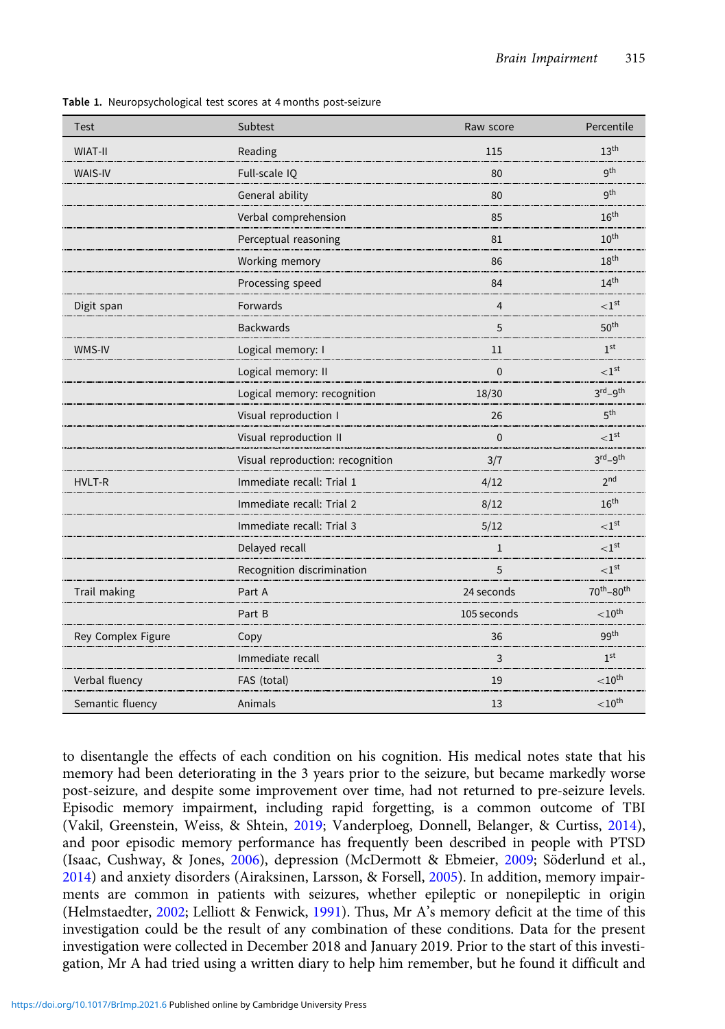| <b>Test</b>        | Subtest                          | Raw score      | Percentile                         |
|--------------------|----------------------------------|----------------|------------------------------------|
| <b>WIAT-II</b>     | Reading                          | 115            | 13 <sup>th</sup>                   |
| <b>WAIS-IV</b>     | Full-scale IQ                    | 80             | q <sup>th</sup>                    |
|                    | General ability                  | 80             | q <sup>th</sup>                    |
|                    | Verbal comprehension             | 85             | 16 <sup>th</sup>                   |
|                    | Perceptual reasoning             | 81             | $10^{\text{th}}$                   |
|                    | Working memory                   | 86             | 18 <sup>th</sup>                   |
|                    | Processing speed                 | 84             | 14 <sup>th</sup>                   |
| Digit span         | Forwards                         | $\overline{4}$ | < 1 <sup>st</sup>                  |
|                    | <b>Backwards</b>                 | 5              | 50 <sup>th</sup>                   |
| WMS-IV             | Logical memory: I                | 11             | 1 <sup>st</sup>                    |
|                    | Logical memory: II               | $\mathbf 0$    | $<$ 1st                            |
|                    | Logical memory: recognition      | 18/30          | $3rd-9th$                          |
|                    | Visual reproduction I            | 26             | 5 <sup>th</sup>                    |
|                    | Visual reproduction II           | $\mathbf 0$    | < 1 <sup>st</sup>                  |
|                    | Visual reproduction: recognition | 3/7            | $3^{\text{rd}} - 9^{\text{th}}$    |
| HVLT-R             | Immediate recall: Trial 1        | 4/12           | 2 <sup>nd</sup>                    |
|                    | Immediate recall: Trial 2        | 8/12           | $16^{\text{th}}$                   |
|                    | Immediate recall: Trial 3        | 5/12           | < 1 <sup>st</sup>                  |
|                    | Delayed recall                   | $\mathbf{1}$   | < 1 <sup>st</sup>                  |
|                    | Recognition discrimination       | 5              | $<$ 1st                            |
| Trail making       | Part A                           | 24 seconds     | 70 <sup>th</sup> -80 <sup>th</sup> |
|                    | Part B                           | 105 seconds    | ${<}10^{\sf th}$                   |
| Rey Complex Figure | Copy                             | 36             | 99 <sup>th</sup>                   |
|                    | Immediate recall                 | 3              | 1 <sup>st</sup>                    |
| Verbal fluency     | FAS (total)                      | 19             | $<$ 10 <sup>th</sup>               |
| Semantic fluency   | Animals                          | 13             | $<$ 10 <sup>th</sup>               |

<span id="page-3-0"></span>Table 1. Neuropsychological test scores at 4 months post-seizure

to disentangle the effects of each condition on his cognition. His medical notes state that his memory had been deteriorating in the 3 years prior to the seizure, but became markedly worse post-seizure, and despite some improvement over time, had not returned to pre-seizure levels. Episodic memory impairment, including rapid forgetting, is a common outcome of TBI (Vakil, Greenstein, Weiss, & Shtein, [2019;](#page-15-0) Vanderploeg, Donnell, Belanger, & Curtiss, [2014](#page-16-0)), and poor episodic memory performance has frequently been described in people with PTSD (Isaac, Cushway, & Jones, [2006\)](#page-15-0), depression (McDermott & Ebmeier, [2009](#page-15-0); Söderlund et al., [2014](#page-15-0)) and anxiety disorders (Airaksinen, Larsson, & Forsell, [2005\)](#page-14-0). In addition, memory impairments are common in patients with seizures, whether epileptic or nonepileptic in origin (Helmstaedter, [2002;](#page-15-0) Lelliott & Fenwick, [1991](#page-15-0)). Thus, Mr A's memory deficit at the time of this investigation could be the result of any combination of these conditions. Data for the present investigation were collected in December 2018 and January 2019. Prior to the start of this investigation, Mr A had tried using a written diary to help him remember, but he found it difficult and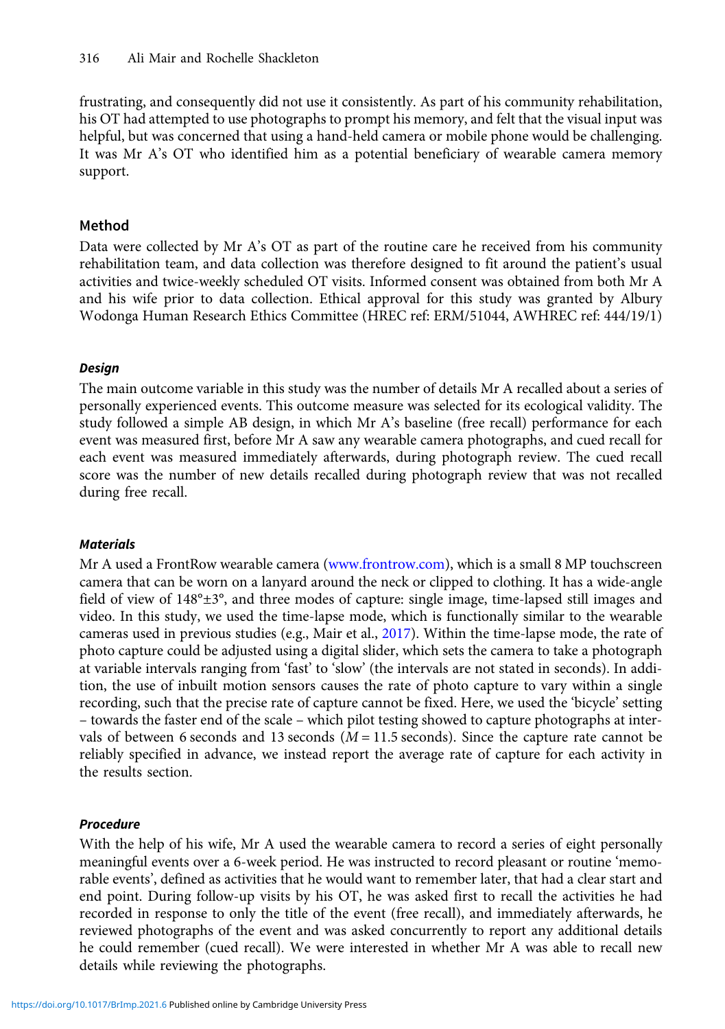frustrating, and consequently did not use it consistently. As part of his community rehabilitation, his OT had attempted to use photographs to prompt his memory, and felt that the visual input was helpful, but was concerned that using a hand-held camera or mobile phone would be challenging. It was Mr A's OT who identified him as a potential beneficiary of wearable camera memory support.

# Method

Data were collected by Mr A's OT as part of the routine care he received from his community rehabilitation team, and data collection was therefore designed to fit around the patient's usual activities and twice-weekly scheduled OT visits. Informed consent was obtained from both Mr A and his wife prior to data collection. Ethical approval for this study was granted by Albury Wodonga Human Research Ethics Committee (HREC ref: ERM/51044, AWHREC ref: 444/19/1)

# Design

The main outcome variable in this study was the number of details Mr A recalled about a series of personally experienced events. This outcome measure was selected for its ecological validity. The study followed a simple AB design, in which Mr A's baseline (free recall) performance for each event was measured first, before Mr A saw any wearable camera photographs, and cued recall for each event was measured immediately afterwards, during photograph review. The cued recall score was the number of new details recalled during photograph review that was not recalled during free recall.

# **Materials**

Mr A used a FrontRow wearable camera [\(www.frontrow.com\)](http://www.frontrow.com), which is a small 8 MP touchscreen camera that can be worn on a lanyard around the neck or clipped to clothing. It has a wide-angle field of view of 148°±3°, and three modes of capture: single image, time-lapsed still images and video. In this study, we used the time-lapse mode, which is functionally similar to the wearable cameras used in previous studies (e.g., Mair et al., [2017](#page-15-0)). Within the time-lapse mode, the rate of photo capture could be adjusted using a digital slider, which sets the camera to take a photograph at variable intervals ranging from 'fast' to 'slow' (the intervals are not stated in seconds). In addition, the use of inbuilt motion sensors causes the rate of photo capture to vary within a single recording, such that the precise rate of capture cannot be fixed. Here, we used the 'bicycle' setting – towards the faster end of the scale – which pilot testing showed to capture photographs at intervals of between 6 seconds and 13 seconds  $(M = 11.5$  seconds). Since the capture rate cannot be reliably specified in advance, we instead report the average rate of capture for each activity in the results section.

# Procedure

With the help of his wife, Mr A used the wearable camera to record a series of eight personally meaningful events over a 6-week period. He was instructed to record pleasant or routine 'memorable events', defined as activities that he would want to remember later, that had a clear start and end point. During follow-up visits by his OT, he was asked first to recall the activities he had recorded in response to only the title of the event (free recall), and immediately afterwards, he reviewed photographs of the event and was asked concurrently to report any additional details he could remember (cued recall). We were interested in whether Mr A was able to recall new details while reviewing the photographs.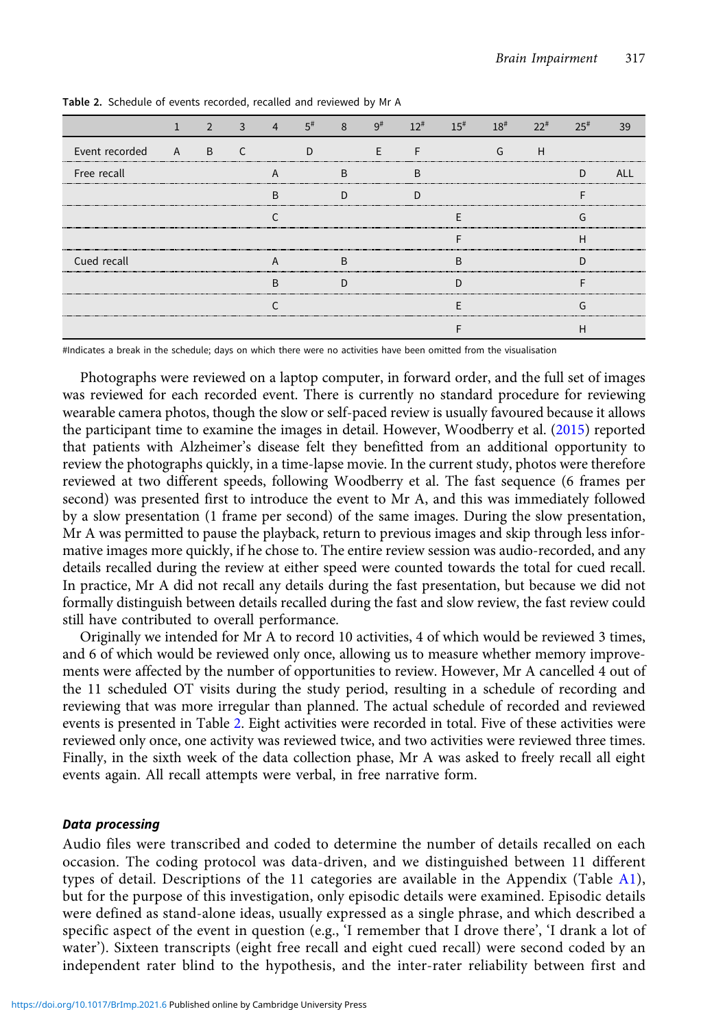|                |          |   |        | 5# |   |   |  |   |  |
|----------------|----------|---|--------|----|---|---|--|---|--|
| Event recorded | <b>A</b> | B |        |    |   |   |  | п |  |
| Free recall    |          |   |        |    | ь | В |  |   |  |
|                |          |   |        |    |   |   |  |   |  |
|                |          |   |        |    |   |   |  |   |  |
|                |          |   |        |    |   |   |  |   |  |
| Cued recall    |          |   |        |    |   |   |  |   |  |
|                |          |   | ח<br>ĸ |    |   |   |  |   |  |
|                |          |   |        |    |   |   |  |   |  |
|                |          |   |        |    |   |   |  |   |  |

Table 2. Schedule of events recorded, recalled and reviewed by Mr A

#Indicates a break in the schedule; days on which there were no activities have been omitted from the visualisation

Photographs were reviewed on a laptop computer, in forward order, and the full set of images was reviewed for each recorded event. There is currently no standard procedure for reviewing wearable camera photos, though the slow or self-paced review is usually favoured because it allows the participant time to examine the images in detail. However, Woodberry et al. [\(2015\)](#page-16-0) reported that patients with Alzheimer's disease felt they benefitted from an additional opportunity to review the photographs quickly, in a time-lapse movie. In the current study, photos were therefore reviewed at two different speeds, following Woodberry et al. The fast sequence (6 frames per second) was presented first to introduce the event to Mr A, and this was immediately followed by a slow presentation (1 frame per second) of the same images. During the slow presentation, Mr A was permitted to pause the playback, return to previous images and skip through less informative images more quickly, if he chose to. The entire review session was audio-recorded, and any details recalled during the review at either speed were counted towards the total for cued recall. In practice, Mr A did not recall any details during the fast presentation, but because we did not formally distinguish between details recalled during the fast and slow review, the fast review could still have contributed to overall performance.

Originally we intended for Mr A to record 10 activities, 4 of which would be reviewed 3 times, and 6 of which would be reviewed only once, allowing us to measure whether memory improvements were affected by the number of opportunities to review. However, Mr A cancelled 4 out of the 11 scheduled OT visits during the study period, resulting in a schedule of recording and reviewing that was more irregular than planned. The actual schedule of recorded and reviewed events is presented in Table 2. Eight activities were recorded in total. Five of these activities were reviewed only once, one activity was reviewed twice, and two activities were reviewed three times. Finally, in the sixth week of the data collection phase, Mr A was asked to freely recall all eight events again. All recall attempts were verbal, in free narrative form.

#### Data processing

Audio files were transcribed and coded to determine the number of details recalled on each occasion. The coding protocol was data-driven, and we distinguished between 11 different types of detail. Descriptions of the 11 categories are available in the Appendix (Table [A1](#page-16-0)), but for the purpose of this investigation, only episodic details were examined. Episodic details were defined as stand-alone ideas, usually expressed as a single phrase, and which described a specific aspect of the event in question (e.g., 'I remember that I drove there', 'I drank a lot of water'). Sixteen transcripts (eight free recall and eight cued recall) were second coded by an independent rater blind to the hypothesis, and the inter-rater reliability between first and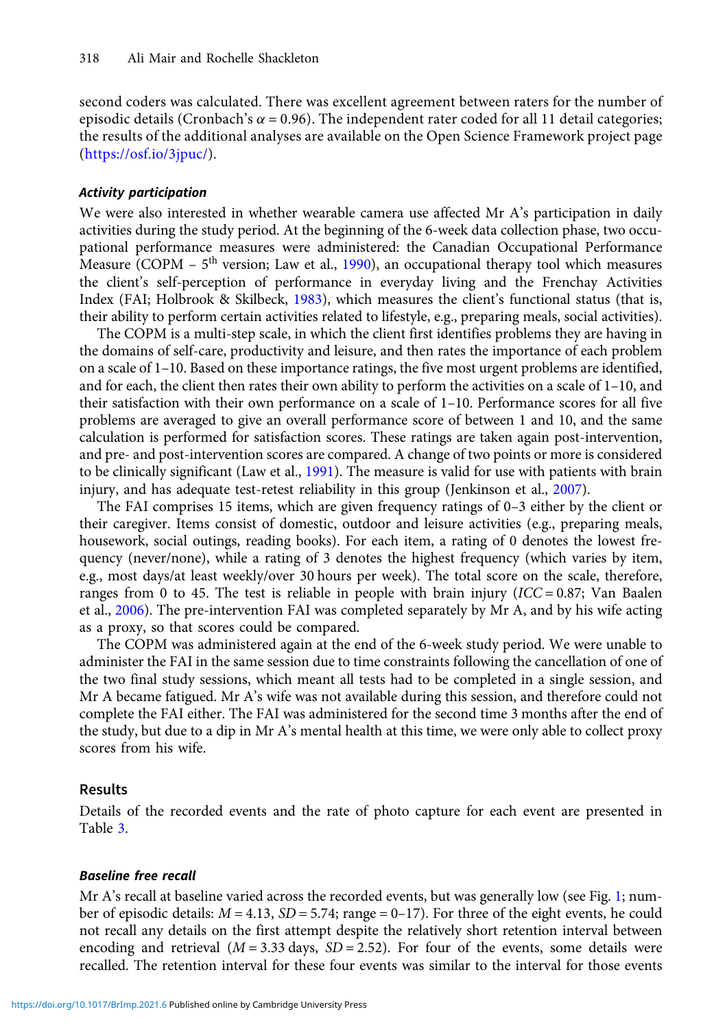second coders was calculated. There was excellent agreement between raters for the number of episodic details (Cronbach's  $\alpha$  = 0.96). The independent rater coded for all 11 detail categories; the results of the additional analyses are available on the Open Science Framework project page (<https://osf.io/3jpuc/>).

#### Activity participation

We were also interested in whether wearable camera use affected Mr A's participation in daily activities during the study period. At the beginning of the 6-week data collection phase, two occupational performance measures were administered: the Canadian Occupational Performance Measure (COPM  $-5<sup>th</sup>$  version; Law et al., [1990](#page-15-0)), an occupational therapy tool which measures the client's self-perception of performance in everyday living and the Frenchay Activities Index (FAI; Holbrook & Skilbeck, [1983](#page-15-0)), which measures the client's functional status (that is, their ability to perform certain activities related to lifestyle, e.g., preparing meals, social activities).

The COPM is a multi-step scale, in which the client first identifies problems they are having in the domains of self-care, productivity and leisure, and then rates the importance of each problem on a scale of 1–10. Based on these importance ratings, the five most urgent problems are identified, and for each, the client then rates their own ability to perform the activities on a scale of 1–10, and their satisfaction with their own performance on a scale of 1–10. Performance scores for all five problems are averaged to give an overall performance score of between 1 and 10, and the same calculation is performed for satisfaction scores. These ratings are taken again post-intervention, and pre- and post-intervention scores are compared. A change of two points or more is considered to be clinically significant (Law et al., [1991](#page-15-0)). The measure is valid for use with patients with brain injury, and has adequate test-retest reliability in this group (Jenkinson et al., [2007\)](#page-15-0).

The FAI comprises 15 items, which are given frequency ratings of 0–3 either by the client or their caregiver. Items consist of domestic, outdoor and leisure activities (e.g., preparing meals, housework, social outings, reading books). For each item, a rating of 0 denotes the lowest frequency (never/none), while a rating of 3 denotes the highest frequency (which varies by item, e.g., most days/at least weekly/over 30 hours per week). The total score on the scale, therefore, ranges from 0 to 45. The test is reliable in people with brain injury  $(ICC = 0.87;$  Van Baalen et al., [2006](#page-16-0)). The pre-intervention FAI was completed separately by Mr A, and by his wife acting as a proxy, so that scores could be compared.

The COPM was administered again at the end of the 6-week study period. We were unable to administer the FAI in the same session due to time constraints following the cancellation of one of the two final study sessions, which meant all tests had to be completed in a single session, and Mr A became fatigued. Mr A's wife was not available during this session, and therefore could not complete the FAI either. The FAI was administered for the second time 3 months after the end of the study, but due to a dip in Mr A's mental health at this time, we were only able to collect proxy scores from his wife.

## Results

Details of the recorded events and the rate of photo capture for each event are presented in Table [3](#page-7-0).

#### Baseline free recall

Mr A's recall at baseline varied across the recorded events, but was generally low (see Fig. [1](#page-7-0); number of episodic details:  $M = 4.13$ ,  $SD = 5.74$ ; range = 0–17). For three of the eight events, he could not recall any details on the first attempt despite the relatively short retention interval between encoding and retrieval  $(M = 3.33$  days,  $SD = 2.52$ ). For four of the events, some details were recalled. The retention interval for these four events was similar to the interval for those events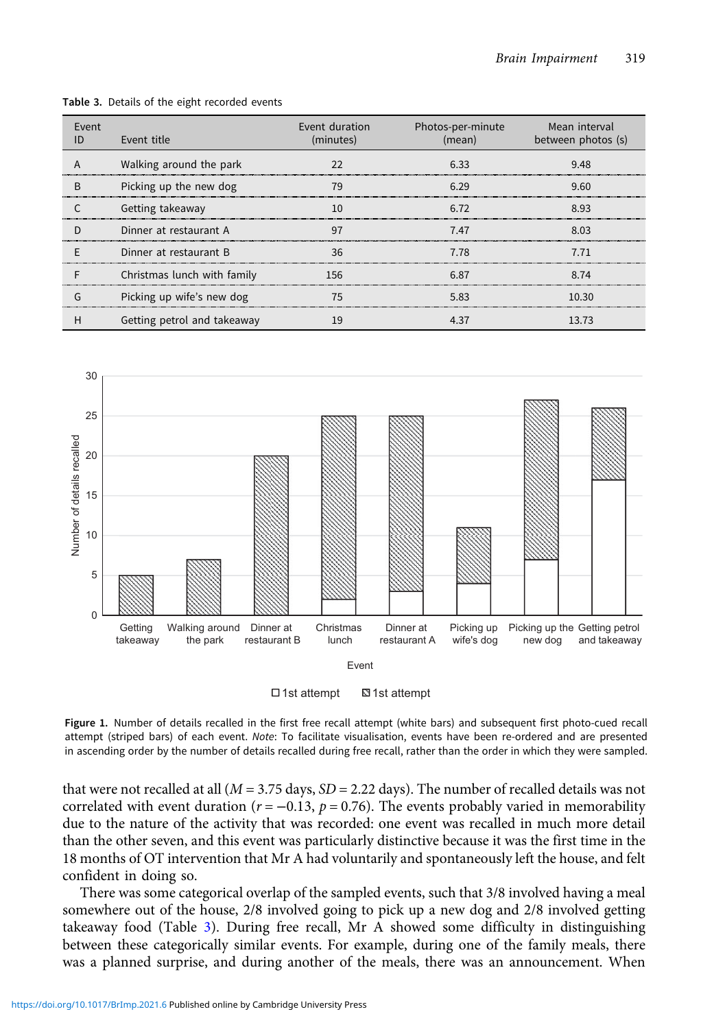| Event | Event title                 | Event duration<br>(minutes) | Photos-per-minute<br>(mean) | Mean interval<br>between photos (s) |
|-------|-----------------------------|-----------------------------|-----------------------------|-------------------------------------|
|       | Walking around the park     |                             | 6.33                        | 9.48                                |
| B     | Picking up the new dog      |                             | 6.29                        | 9.60                                |
|       | Getting takeaway            |                             | 6.72                        | 8.93                                |
|       | Dinner at restaurant A      | 97                          | 7.47                        | 8.03                                |
|       | Dinner at restaurant B      | 36                          | 7.78                        | 7 7 1                               |
|       | Christmas lunch with family | 156                         | 6.87                        | 8.74                                |
|       | Picking up wife's new dog   |                             | 583                         | 10 30                               |
| н     | Getting petrol and takeaway |                             | 4.37                        | 13.73                               |

<span id="page-7-0"></span>Table 3. Details of the eight recorded events



 $\Box$  1st attempt  $\Box$  1st attempt

Figure 1. Number of details recalled in the first free recall attempt (white bars) and subsequent first photo-cued recall attempt (striped bars) of each event. Note: To facilitate visualisation, events have been re-ordered and are presented in ascending order by the number of details recalled during free recall, rather than the order in which they were sampled.

that were not recalled at all  $(M = 3.75$  days,  $SD = 2.22$  days). The number of recalled details was not correlated with event duration ( $r = -0.13$ ,  $p = 0.76$ ). The events probably varied in memorability due to the nature of the activity that was recorded: one event was recalled in much more detail than the other seven, and this event was particularly distinctive because it was the first time in the 18 months of OT intervention that Mr A had voluntarily and spontaneously left the house, and felt confident in doing so.

There was some categorical overlap of the sampled events, such that 3/8 involved having a meal somewhere out of the house, 2/8 involved going to pick up a new dog and 2/8 involved getting takeaway food (Table 3). During free recall, Mr A showed some difficulty in distinguishing between these categorically similar events. For example, during one of the family meals, there was a planned surprise, and during another of the meals, there was an announcement. When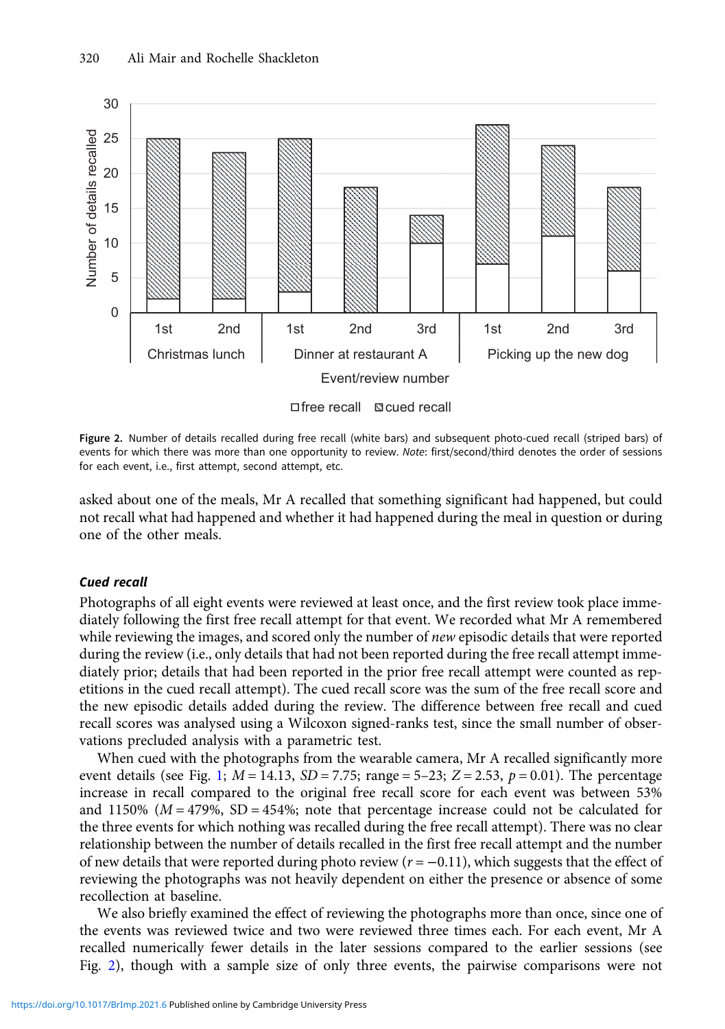

Figure 2. Number of details recalled during free recall (white bars) and subsequent photo-cued recall (striped bars) of events for which there was more than one opportunity to review. Note: first/second/third denotes the order of sessions for each event, i.e., first attempt, second attempt, etc.

asked about one of the meals, Mr A recalled that something significant had happened, but could not recall what had happened and whether it had happened during the meal in question or during one of the other meals.

## Cued recall

Photographs of all eight events were reviewed at least once, and the first review took place immediately following the first free recall attempt for that event. We recorded what Mr A remembered while reviewing the images, and scored only the number of new episodic details that were reported during the review (i.e., only details that had not been reported during the free recall attempt immediately prior; details that had been reported in the prior free recall attempt were counted as repetitions in the cued recall attempt). The cued recall score was the sum of the free recall score and the new episodic details added during the review. The difference between free recall and cued recall scores was analysed using a Wilcoxon signed-ranks test, since the small number of observations precluded analysis with a parametric test.

When cued with the photographs from the wearable camera, Mr A recalled significantly more event details (see Fig. [1;](#page-7-0)  $M = 14.13$ ,  $SD = 7.75$ ; range = 5-23;  $Z = 2.53$ ,  $p = 0.01$ ). The percentage increase in recall compared to the original free recall score for each event was between 53% and 1150% ( $M = 479$ %, SD = 454%; note that percentage increase could not be calculated for the three events for which nothing was recalled during the free recall attempt). There was no clear relationship between the number of details recalled in the first free recall attempt and the number of new details that were reported during photo review ( $r = -0.11$ ), which suggests that the effect of reviewing the photographs was not heavily dependent on either the presence or absence of some recollection at baseline.

We also briefly examined the effect of reviewing the photographs more than once, since one of the events was reviewed twice and two were reviewed three times each. For each event, Mr A recalled numerically fewer details in the later sessions compared to the earlier sessions (see Fig. 2), though with a sample size of only three events, the pairwise comparisons were not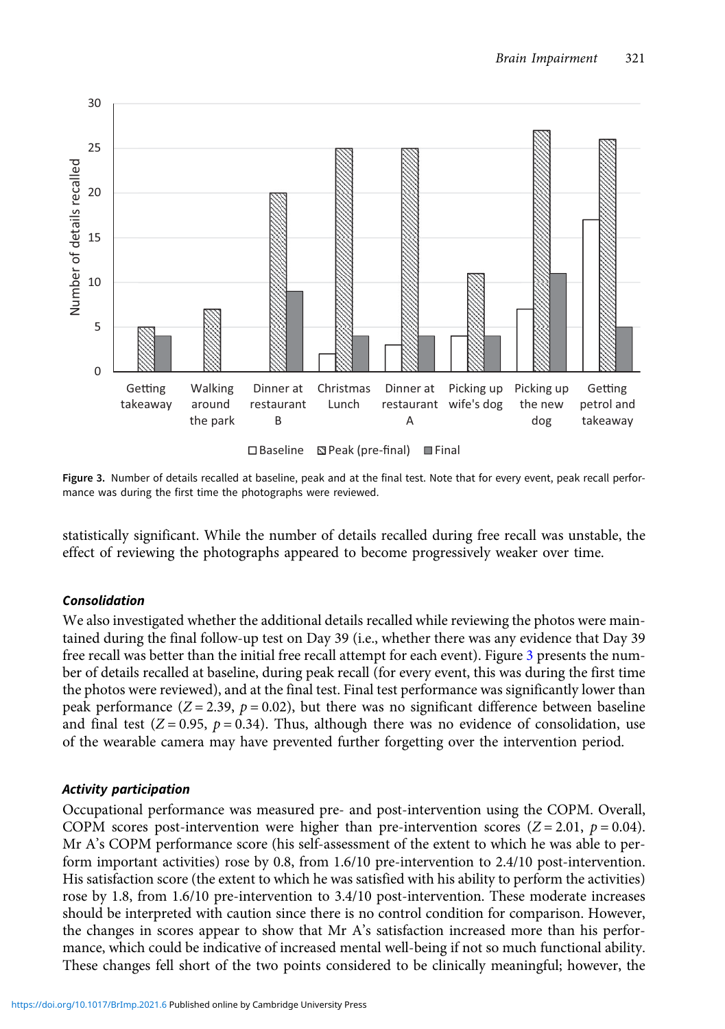

Figure 3. Number of details recalled at baseline, peak and at the final test. Note that for every event, peak recall performance was during the first time the photographs were reviewed.

statistically significant. While the number of details recalled during free recall was unstable, the effect of reviewing the photographs appeared to become progressively weaker over time.

# Consolidation

We also investigated whether the additional details recalled while reviewing the photos were maintained during the final follow-up test on Day 39 (i.e., whether there was any evidence that Day 39 free recall was better than the initial free recall attempt for each event). Figure 3 presents the number of details recalled at baseline, during peak recall (for every event, this was during the first time the photos were reviewed), and at the final test. Final test performance was significantly lower than peak performance ( $Z = 2.39$ ,  $p = 0.02$ ), but there was no significant difference between baseline and final test  $(Z = 0.95, p = 0.34)$ . Thus, although there was no evidence of consolidation, use of the wearable camera may have prevented further forgetting over the intervention period.

# Activity participation

Occupational performance was measured pre- and post-intervention using the COPM. Overall, COPM scores post-intervention were higher than pre-intervention scores ( $Z = 2.01$ ,  $p = 0.04$ ). Mr A's COPM performance score (his self-assessment of the extent to which he was able to perform important activities) rose by 0.8, from 1.6/10 pre-intervention to 2.4/10 post-intervention. His satisfaction score (the extent to which he was satisfied with his ability to perform the activities) rose by 1.8, from 1.6/10 pre-intervention to 3.4/10 post-intervention. These moderate increases should be interpreted with caution since there is no control condition for comparison. However, the changes in scores appear to show that Mr A's satisfaction increased more than his performance, which could be indicative of increased mental well-being if not so much functional ability. These changes fell short of the two points considered to be clinically meaningful; however, the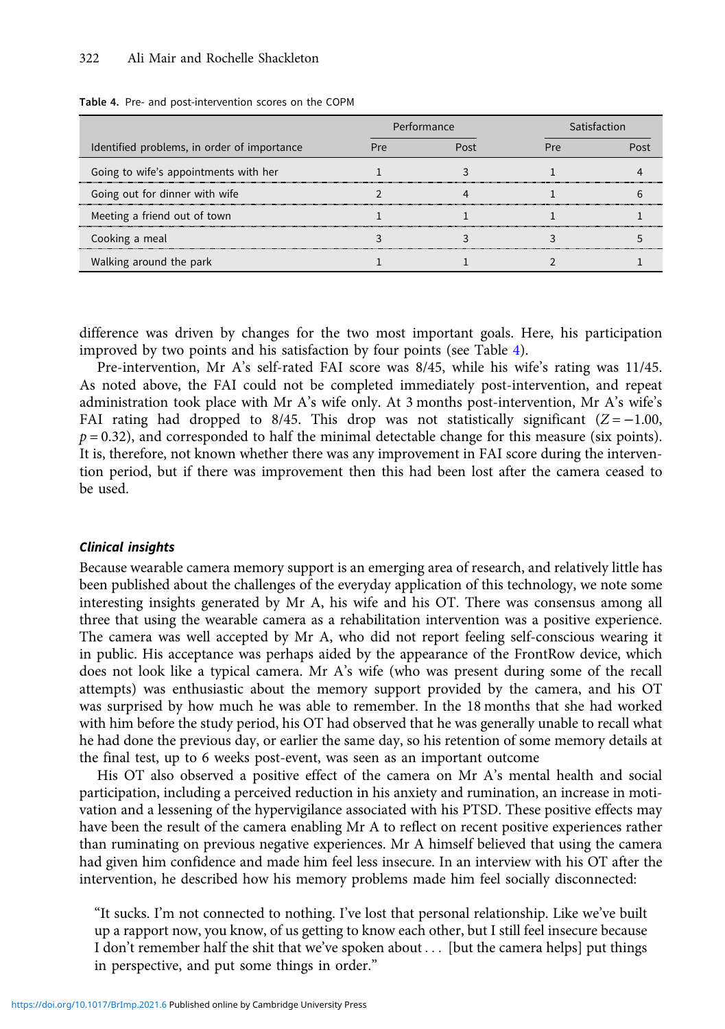|                                             | Performance |  | Satisfaction |  |  |
|---------------------------------------------|-------------|--|--------------|--|--|
| Identified problems, in order of importance |             |  |              |  |  |
| Going to wife's appointments with her       |             |  |              |  |  |
| Going out for dinner with wife              |             |  |              |  |  |
| Meeting a friend out of town                |             |  |              |  |  |
| Cooking a meal                              |             |  |              |  |  |
| Walking around the park                     |             |  |              |  |  |

#### Table 4. Pre- and post-intervention scores on the COPM

difference was driven by changes for the two most important goals. Here, his participation improved by two points and his satisfaction by four points (see Table 4).

Pre-intervention, Mr A's self-rated FAI score was 8/45, while his wife's rating was 11/45. As noted above, the FAI could not be completed immediately post-intervention, and repeat administration took place with Mr A's wife only. At 3 months post-intervention, Mr A's wife's FAI rating had dropped to 8/45. This drop was not statistically significant ( $Z = -1.00$ ,  $p = 0.32$ ), and corresponded to half the minimal detectable change for this measure (six points). It is, therefore, not known whether there was any improvement in FAI score during the intervention period, but if there was improvement then this had been lost after the camera ceased to be used.

#### Clinical insights

Because wearable camera memory support is an emerging area of research, and relatively little has been published about the challenges of the everyday application of this technology, we note some interesting insights generated by Mr A, his wife and his OT. There was consensus among all three that using the wearable camera as a rehabilitation intervention was a positive experience. The camera was well accepted by Mr A, who did not report feeling self-conscious wearing it in public. His acceptance was perhaps aided by the appearance of the FrontRow device, which does not look like a typical camera. Mr A's wife (who was present during some of the recall attempts) was enthusiastic about the memory support provided by the camera, and his OT was surprised by how much he was able to remember. In the 18 months that she had worked with him before the study period, his OT had observed that he was generally unable to recall what he had done the previous day, or earlier the same day, so his retention of some memory details at the final test, up to 6 weeks post-event, was seen as an important outcome

His OT also observed a positive effect of the camera on Mr A's mental health and social participation, including a perceived reduction in his anxiety and rumination, an increase in motivation and a lessening of the hypervigilance associated with his PTSD. These positive effects may have been the result of the camera enabling Mr A to reflect on recent positive experiences rather than ruminating on previous negative experiences. Mr A himself believed that using the camera had given him confidence and made him feel less insecure. In an interview with his OT after the intervention, he described how his memory problems made him feel socially disconnected:

"It sucks. I'm not connected to nothing. I've lost that personal relationship. Like we've built up a rapport now, you know, of us getting to know each other, but I still feel insecure because I don't remember half the shit that we've spoken about . . . [but the camera helps] put things in perspective, and put some things in order."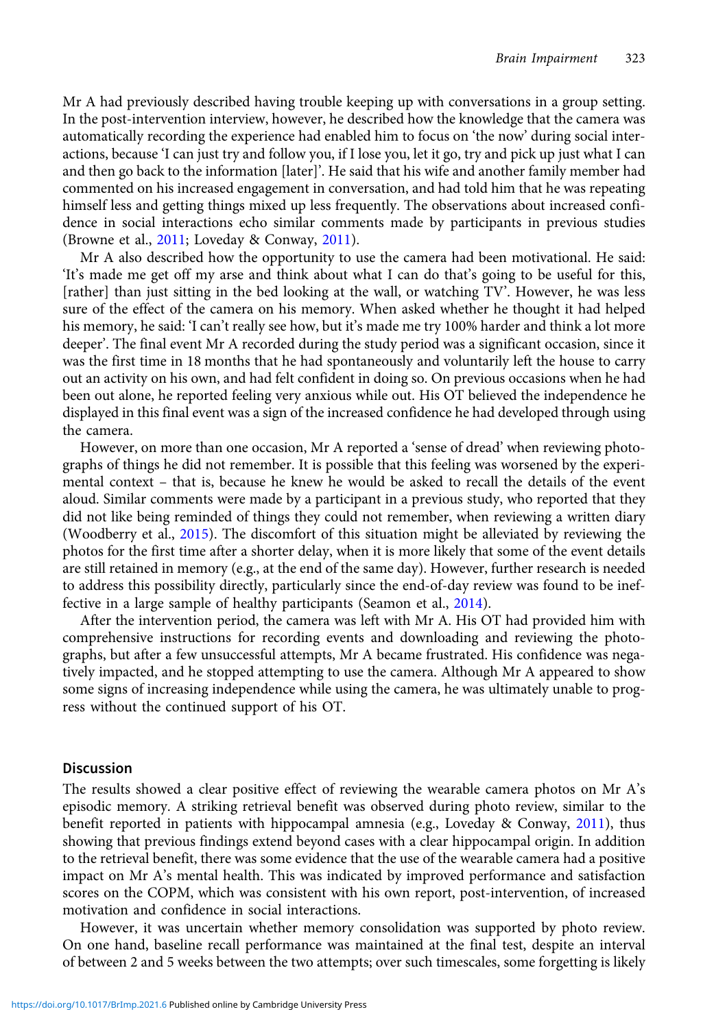Mr A had previously described having trouble keeping up with conversations in a group setting. In the post-intervention interview, however, he described how the knowledge that the camera was automatically recording the experience had enabled him to focus on 'the now' during social interactions, because 'I can just try and follow you, if I lose you, let it go, try and pick up just what I can and then go back to the information [later]'. He said that his wife and another family member had commented on his increased engagement in conversation, and had told him that he was repeating himself less and getting things mixed up less frequently. The observations about increased confidence in social interactions echo similar comments made by participants in previous studies (Browne et al., [2011](#page-14-0); Loveday & Conway, [2011\)](#page-15-0).

Mr A also described how the opportunity to use the camera had been motivational. He said: 'It's made me get off my arse and think about what I can do that's going to be useful for this, [rather] than just sitting in the bed looking at the wall, or watching TV'. However, he was less sure of the effect of the camera on his memory. When asked whether he thought it had helped his memory, he said: 'I can't really see how, but it's made me try 100% harder and think a lot more deeper'. The final event Mr A recorded during the study period was a significant occasion, since it was the first time in 18 months that he had spontaneously and voluntarily left the house to carry out an activity on his own, and had felt confident in doing so. On previous occasions when he had been out alone, he reported feeling very anxious while out. His OT believed the independence he displayed in this final event was a sign of the increased confidence he had developed through using the camera.

However, on more than one occasion, Mr A reported a 'sense of dread' when reviewing photographs of things he did not remember. It is possible that this feeling was worsened by the experimental context – that is, because he knew he would be asked to recall the details of the event aloud. Similar comments were made by a participant in a previous study, who reported that they did not like being reminded of things they could not remember, when reviewing a written diary (Woodberry et al., [2015](#page-16-0)). The discomfort of this situation might be alleviated by reviewing the photos for the first time after a shorter delay, when it is more likely that some of the event details are still retained in memory (e.g., at the end of the same day). However, further research is needed to address this possibility directly, particularly since the end-of-day review was found to be ineffective in a large sample of healthy participants (Seamon et al., [2014\)](#page-15-0).

After the intervention period, the camera was left with Mr A. His OT had provided him with comprehensive instructions for recording events and downloading and reviewing the photographs, but after a few unsuccessful attempts, Mr A became frustrated. His confidence was negatively impacted, and he stopped attempting to use the camera. Although Mr A appeared to show some signs of increasing independence while using the camera, he was ultimately unable to progress without the continued support of his OT.

## **Discussion**

The results showed a clear positive effect of reviewing the wearable camera photos on Mr A's episodic memory. A striking retrieval benefit was observed during photo review, similar to the benefit reported in patients with hippocampal amnesia (e.g., Loveday & Conway, [2011\)](#page-15-0), thus showing that previous findings extend beyond cases with a clear hippocampal origin. In addition to the retrieval benefit, there was some evidence that the use of the wearable camera had a positive impact on Mr A's mental health. This was indicated by improved performance and satisfaction scores on the COPM, which was consistent with his own report, post-intervention, of increased motivation and confidence in social interactions.

However, it was uncertain whether memory consolidation was supported by photo review. On one hand, baseline recall performance was maintained at the final test, despite an interval of between 2 and 5 weeks between the two attempts; over such timescales, some forgetting is likely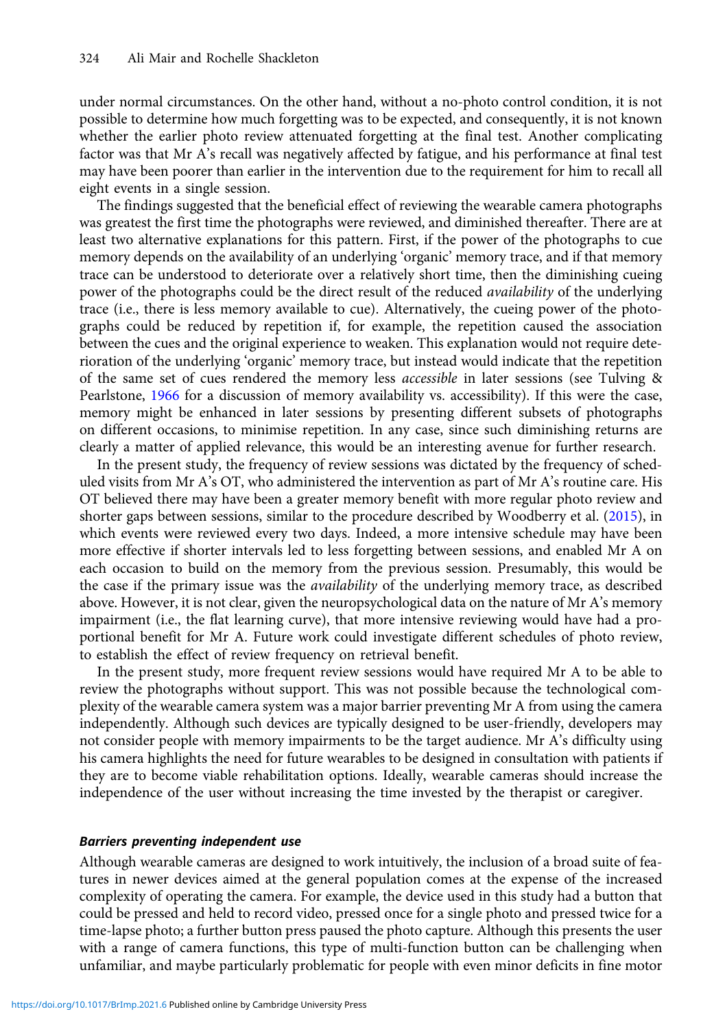under normal circumstances. On the other hand, without a no-photo control condition, it is not possible to determine how much forgetting was to be expected, and consequently, it is not known whether the earlier photo review attenuated forgetting at the final test. Another complicating factor was that Mr A's recall was negatively affected by fatigue, and his performance at final test may have been poorer than earlier in the intervention due to the requirement for him to recall all eight events in a single session.

The findings suggested that the beneficial effect of reviewing the wearable camera photographs was greatest the first time the photographs were reviewed, and diminished thereafter. There are at least two alternative explanations for this pattern. First, if the power of the photographs to cue memory depends on the availability of an underlying 'organic' memory trace, and if that memory trace can be understood to deteriorate over a relatively short time, then the diminishing cueing power of the photographs could be the direct result of the reduced *availability* of the underlying trace (i.e., there is less memory available to cue). Alternatively, the cueing power of the photographs could be reduced by repetition if, for example, the repetition caused the association between the cues and the original experience to weaken. This explanation would not require deterioration of the underlying 'organic' memory trace, but instead would indicate that the repetition of the same set of cues rendered the memory less accessible in later sessions (see Tulving & Pearlstone, [1966](#page-15-0) for a discussion of memory availability vs. accessibility). If this were the case, memory might be enhanced in later sessions by presenting different subsets of photographs on different occasions, to minimise repetition. In any case, since such diminishing returns are clearly a matter of applied relevance, this would be an interesting avenue for further research.

In the present study, the frequency of review sessions was dictated by the frequency of scheduled visits from Mr A's OT, who administered the intervention as part of Mr A's routine care. His OT believed there may have been a greater memory benefit with more regular photo review and shorter gaps between sessions, similar to the procedure described by Woodberry et al. [\(2015\)](#page-16-0), in which events were reviewed every two days. Indeed, a more intensive schedule may have been more effective if shorter intervals led to less forgetting between sessions, and enabled Mr A on each occasion to build on the memory from the previous session. Presumably, this would be the case if the primary issue was the *availability* of the underlying memory trace, as described above. However, it is not clear, given the neuropsychological data on the nature of Mr A's memory impairment (i.e., the flat learning curve), that more intensive reviewing would have had a proportional benefit for Mr A. Future work could investigate different schedules of photo review, to establish the effect of review frequency on retrieval benefit.

In the present study, more frequent review sessions would have required Mr A to be able to review the photographs without support. This was not possible because the technological complexity of the wearable camera system was a major barrier preventing Mr A from using the camera independently. Although such devices are typically designed to be user-friendly, developers may not consider people with memory impairments to be the target audience. Mr A's difficulty using his camera highlights the need for future wearables to be designed in consultation with patients if they are to become viable rehabilitation options. Ideally, wearable cameras should increase the independence of the user without increasing the time invested by the therapist or caregiver.

## Barriers preventing independent use

Although wearable cameras are designed to work intuitively, the inclusion of a broad suite of features in newer devices aimed at the general population comes at the expense of the increased complexity of operating the camera. For example, the device used in this study had a button that could be pressed and held to record video, pressed once for a single photo and pressed twice for a time-lapse photo; a further button press paused the photo capture. Although this presents the user with a range of camera functions, this type of multi-function button can be challenging when unfamiliar, and maybe particularly problematic for people with even minor deficits in fine motor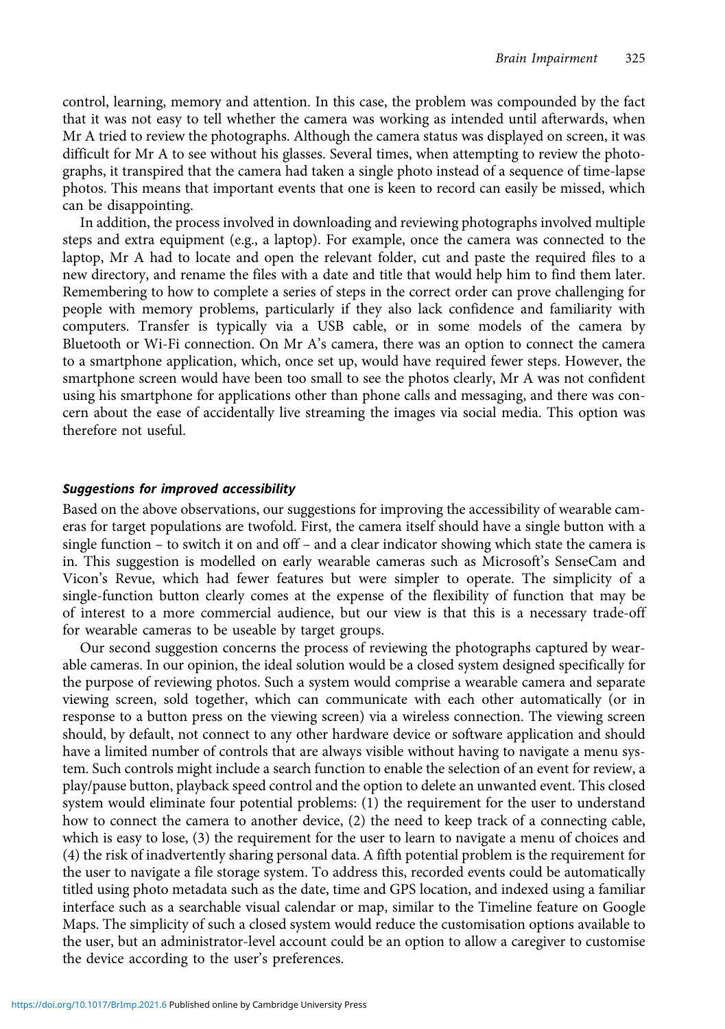control, learning, memory and attention. In this case, the problem was compounded by the fact that it was not easy to tell whether the camera was working as intended until afterwards, when Mr A tried to review the photographs. Although the camera status was displayed on screen, it was difficult for Mr A to see without his glasses. Several times, when attempting to review the photographs, it transpired that the camera had taken a single photo instead of a sequence of time-lapse photos. This means that important events that one is keen to record can easily be missed, which can be disappointing.

In addition, the process involved in downloading and reviewing photographs involved multiple steps and extra equipment (e.g., a laptop). For example, once the camera was connected to the laptop, Mr A had to locate and open the relevant folder, cut and paste the required files to a new directory, and rename the files with a date and title that would help him to find them later. Remembering to how to complete a series of steps in the correct order can prove challenging for people with memory problems, particularly if they also lack confidence and familiarity with computers. Transfer is typically via a USB cable, or in some models of the camera by Bluetooth or Wi-Fi connection. On Mr A's camera, there was an option to connect the camera to a smartphone application, which, once set up, would have required fewer steps. However, the smartphone screen would have been too small to see the photos clearly, Mr A was not confident using his smartphone for applications other than phone calls and messaging, and there was concern about the ease of accidentally live streaming the images via social media. This option was therefore not useful.

## Suggestions for improved accessibility

Based on the above observations, our suggestions for improving the accessibility of wearable cameras for target populations are twofold. First, the camera itself should have a single button with a single function – to switch it on and off – and a clear indicator showing which state the camera is in. This suggestion is modelled on early wearable cameras such as Microsoft's SenseCam and Vicon's Revue, which had fewer features but were simpler to operate. The simplicity of a single-function button clearly comes at the expense of the flexibility of function that may be of interest to a more commercial audience, but our view is that this is a necessary trade-off for wearable cameras to be useable by target groups.

Our second suggestion concerns the process of reviewing the photographs captured by wearable cameras. In our opinion, the ideal solution would be a closed system designed specifically for the purpose of reviewing photos. Such a system would comprise a wearable camera and separate viewing screen, sold together, which can communicate with each other automatically (or in response to a button press on the viewing screen) via a wireless connection. The viewing screen should, by default, not connect to any other hardware device or software application and should have a limited number of controls that are always visible without having to navigate a menu system. Such controls might include a search function to enable the selection of an event for review, a play/pause button, playback speed control and the option to delete an unwanted event. This closed system would eliminate four potential problems: (1) the requirement for the user to understand how to connect the camera to another device, (2) the need to keep track of a connecting cable, which is easy to lose, (3) the requirement for the user to learn to navigate a menu of choices and (4) the risk of inadvertently sharing personal data. A fifth potential problem is the requirement for the user to navigate a file storage system. To address this, recorded events could be automatically titled using photo metadata such as the date, time and GPS location, and indexed using a familiar interface such as a searchable visual calendar or map, similar to the Timeline feature on Google Maps. The simplicity of such a closed system would reduce the customisation options available to the user, but an administrator-level account could be an option to allow a caregiver to customise the device according to the user's preferences.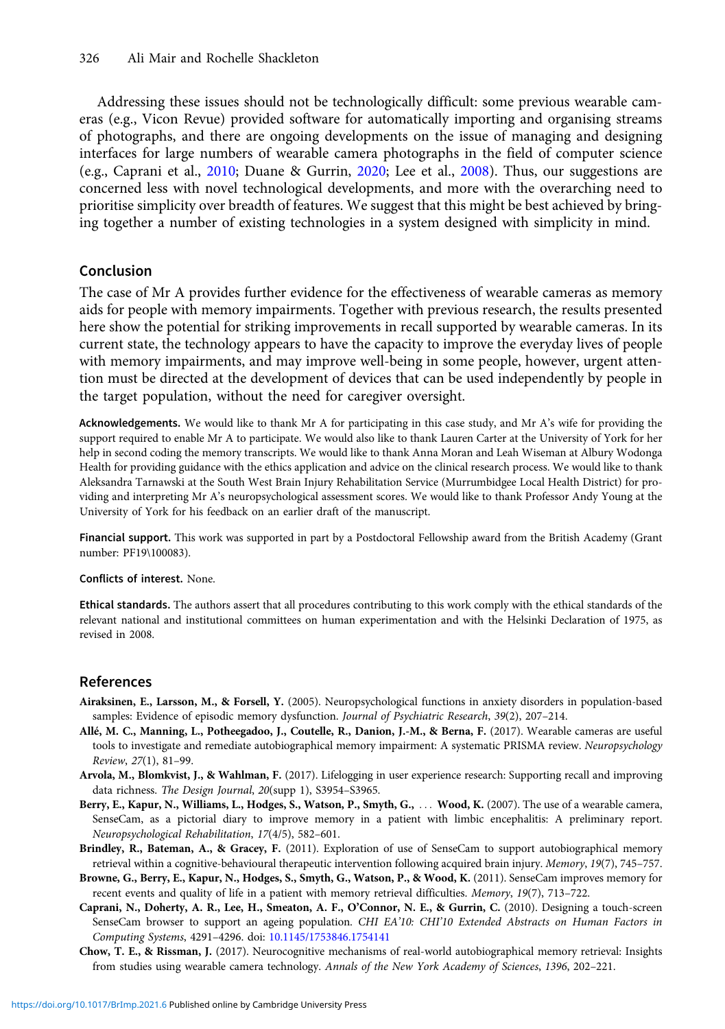<span id="page-14-0"></span>Addressing these issues should not be technologically difficult: some previous wearable cameras (e.g., Vicon Revue) provided software for automatically importing and organising streams of photographs, and there are ongoing developments on the issue of managing and designing interfaces for large numbers of wearable camera photographs in the field of computer science (e.g., Caprani et al., 2010; Duane & Gurrin, [2020;](#page-15-0) Lee et al., [2008\)](#page-15-0). Thus, our suggestions are concerned less with novel technological developments, and more with the overarching need to prioritise simplicity over breadth of features. We suggest that this might be best achieved by bringing together a number of existing technologies in a system designed with simplicity in mind.

# Conclusion

The case of Mr A provides further evidence for the effectiveness of wearable cameras as memory aids for people with memory impairments. Together with previous research, the results presented here show the potential for striking improvements in recall supported by wearable cameras. In its current state, the technology appears to have the capacity to improve the everyday lives of people with memory impairments, and may improve well-being in some people, however, urgent attention must be directed at the development of devices that can be used independently by people in the target population, without the need for caregiver oversight.

Acknowledgements. We would like to thank Mr A for participating in this case study, and Mr A's wife for providing the support required to enable Mr A to participate. We would also like to thank Lauren Carter at the University of York for her help in second coding the memory transcripts. We would like to thank Anna Moran and Leah Wiseman at Albury Wodonga Health for providing guidance with the ethics application and advice on the clinical research process. We would like to thank Aleksandra Tarnawski at the South West Brain Injury Rehabilitation Service (Murrumbidgee Local Health District) for providing and interpreting Mr A's neuropsychological assessment scores. We would like to thank Professor Andy Young at the University of York for his feedback on an earlier draft of the manuscript.

Financial support. This work was supported in part by a Postdoctoral Fellowship award from the British Academy (Grant number: PF19\100083).

#### Conflicts of interest. None.

Ethical standards. The authors assert that all procedures contributing to this work comply with the ethical standards of the relevant national and institutional committees on human experimentation and with the Helsinki Declaration of 1975, as revised in 2008.

# References

- Airaksinen, E., Larsson, M., & Forsell, Y. (2005). Neuropsychological functions in anxiety disorders in population-based samples: Evidence of episodic memory dysfunction. Journal of Psychiatric Research, 39(2), 207-214.
- Allé, M. C., Manning, L., Potheegadoo, J., Coutelle, R., Danion, J.-M., & Berna, F. (2017). Wearable cameras are useful tools to investigate and remediate autobiographical memory impairment: A systematic PRISMA review. Neuropsychology Review, 27(1), 81–99.
- Arvola, M., Blomkvist, J., & Wahlman, F. (2017). Lifelogging in user experience research: Supporting recall and improving data richness. The Design Journal, 20(supp 1), S3954–S3965.
- Berry, E., Kapur, N., Williams, L., Hodges, S., Watson, P., Smyth, G., ... Wood, K. (2007). The use of a wearable camera, SenseCam, as a pictorial diary to improve memory in a patient with limbic encephalitis: A preliminary report. Neuropsychological Rehabilitation, 17(4/5), 582–601.
- Brindley, R., Bateman, A., & Gracey, F. (2011). Exploration of use of SenseCam to support autobiographical memory retrieval within a cognitive-behavioural therapeutic intervention following acquired brain injury. Memory, 19(7), 745–757.
- Browne, G., Berry, E., Kapur, N., Hodges, S., Smyth, G., Watson, P., & Wood, K. (2011). SenseCam improves memory for recent events and quality of life in a patient with memory retrieval difficulties. Memory, 19(7), 713–722.
- Caprani, N., Doherty, A. R., Lee, H., Smeaton, A. F., O'Connor, N. E., & Gurrin, C. (2010). Designing a touch-screen SenseCam browser to support an ageing population. CHI EA'10: CHI'10 Extended Abstracts on Human Factors in Computing Systems, 4291–4296. doi: [10.1145/1753846.1754141](https://doi.org/10.1145/1753846.1754141)
- Chow, T. E., & Rissman, J. (2017). Neurocognitive mechanisms of real-world autobiographical memory retrieval: Insights from studies using wearable camera technology. Annals of the New York Academy of Sciences, 1396, 202–221.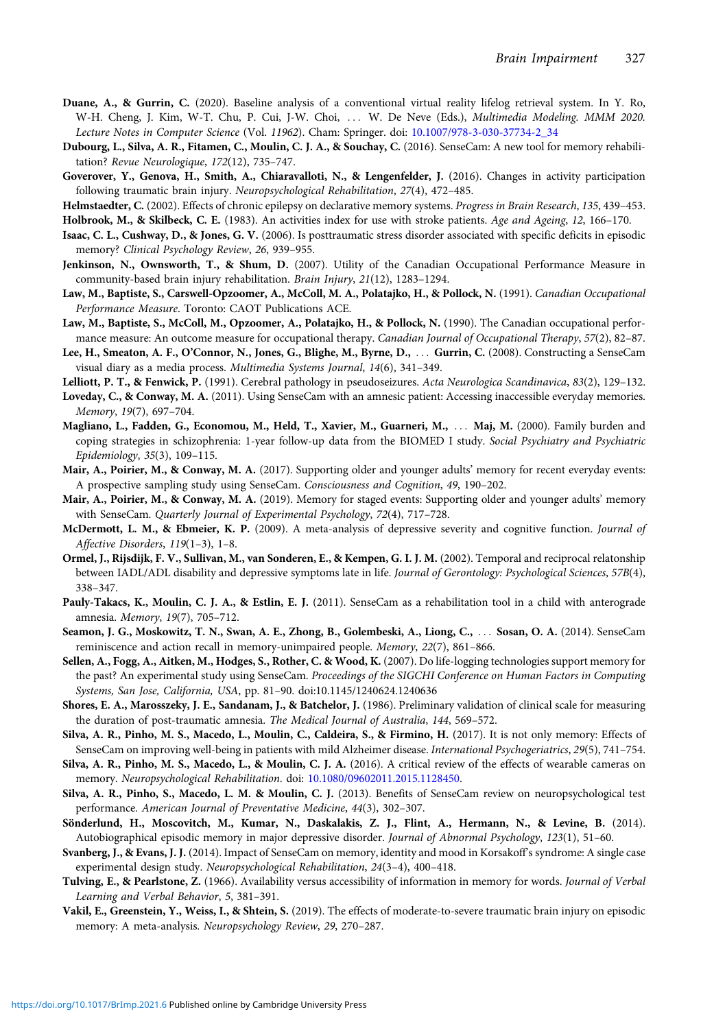- <span id="page-15-0"></span>Duane, A., & Gurrin, C. (2020). Baseline analysis of a conventional virtual reality lifelog retrieval system. In Y. Ro, W-H. Cheng, J. Kim, W-T. Chu, P. Cui, J-W. Choi, ::: W. De Neve (Eds.), Multimedia Modeling. MMM 2020. Lecture Notes in Computer Science (Vol. 11962). Cham: Springer. doi: [10.1007/978-3-030-37734-2\\_34](https://doi.org/10.1007/978-3-030-37734-2_34)
- Dubourg, L., Silva, A. R., Fitamen, C., Moulin, C. J. A., & Souchay, C. (2016). SenseCam: A new tool for memory rehabilitation? Revue Neurologique, 172(12), 735–747.
- Goverover, Y., Genova, H., Smith, A., Chiaravalloti, N., & Lengenfelder, J. (2016). Changes in activity participation following traumatic brain injury. Neuropsychological Rehabilitation, 27(4), 472–485.
- Helmstaedter, C. (2002). Effects of chronic epilepsy on declarative memory systems. Progress in Brain Research, 135, 439-453.
- Holbrook, M., & Skilbeck, C. E. (1983). An activities index for use with stroke patients. Age and Ageing, 12, 166-170.
- Isaac, C. L., Cushway, D., & Jones, G. V. (2006). Is posttraumatic stress disorder associated with specific deficits in episodic memory? Clinical Psychology Review, 26, 939–955.
- Jenkinson, N., Ownsworth, T., & Shum, D. (2007). Utility of the Canadian Occupational Performance Measure in community-based brain injury rehabilitation. Brain Injury, 21(12), 1283–1294.
- Law, M., Baptiste, S., Carswell-Opzoomer, A., McColl, M. A., Polatajko, H., & Pollock, N. (1991). Canadian Occupational Performance Measure. Toronto: CAOT Publications ACE.
- Law, M., Baptiste, S., McColl, M., Opzoomer, A., Polatajko, H., & Pollock, N. (1990). The Canadian occupational performance measure: An outcome measure for occupational therapy. Canadian Journal of Occupational Therapy, 57(2), 82-87.
- Lee, H., Smeaton, A. F., O'Connor, N., Jones, G., Blighe, M., Byrne, D., ::: Gurrin, C. (2008). Constructing a SenseCam visual diary as a media process. Multimedia Systems Journal, 14(6), 341–349.
- Lelliott, P. T., & Fenwick, P. (1991). Cerebral pathology in pseudoseizures. Acta Neurologica Scandinavica, 83(2), 129–132.
- Loveday, C., & Conway, M. A. (2011). Using SenseCam with an amnesic patient: Accessing inaccessible everyday memories. Memory, 19(7), 697–704.
- Magliano, L., Fadden, G., Economou, M., Held, T., Xavier, M., Guarneri, M., ::: Maj, M. (2000). Family burden and coping strategies in schizophrenia: 1-year follow-up data from the BIOMED I study. Social Psychiatry and Psychiatric Epidemiology, 35(3), 109–115.
- Mair, A., Poirier, M., & Conway, M. A. (2017). Supporting older and younger adults' memory for recent everyday events: A prospective sampling study using SenseCam. Consciousness and Cognition, 49, 190–202.
- Mair, A., Poirier, M., & Conway, M. A. (2019). Memory for staged events: Supporting older and younger adults' memory with SenseCam. Quarterly Journal of Experimental Psychology, 72(4), 717–728.
- McDermott, L. M., & Ebmeier, K. P. (2009). A meta-analysis of depressive severity and cognitive function. Journal of Affective Disorders, 119(1–3), 1–8.
- Ormel, J., Rijsdijk, F. V., Sullivan, M., van Sonderen, E., & Kempen, G. I. J. M. (2002). Temporal and reciprocal relatonship between IADL/ADL disability and depressive symptoms late in life. Journal of Gerontology: Psychological Sciences, 57B(4), 338–347.
- Pauly-Takacs, K., Moulin, C. J. A., & Estlin, E. J. (2011). SenseCam as a rehabilitation tool in a child with anterograde amnesia. Memory, 19(7), 705–712.
- Seamon, J. G., Moskowitz, T. N., Swan, A. E., Zhong, B., Golembeski, A., Liong, C., ::: Sosan, O. A. (2014). SenseCam reminiscence and action recall in memory-unimpaired people. Memory, 22(7), 861–866.
- Sellen, A., Fogg, A., Aitken, M., Hodges, S., Rother, C. & Wood, K. (2007). Do life-logging technologies support memory for the past? An experimental study using SenseCam. Proceedings of the SIGCHI Conference on Human Factors in Computing Systems, San Jose, California, USA, pp. 81–90. doi:10.1145/1240624.1240636
- Shores, E. A., Marosszeky, J. E., Sandanam, J., & Batchelor, J. (1986). Preliminary validation of clinical scale for measuring the duration of post-traumatic amnesia. The Medical Journal of Australia, 144, 569–572.
- Silva, A. R., Pinho, M. S., Macedo, L., Moulin, C., Caldeira, S., & Firmino, H. (2017). It is not only memory: Effects of SenseCam on improving well-being in patients with mild Alzheimer disease. International Psychogeriatrics, 29(5), 741–754.
- Silva, A. R., Pinho, M. S., Macedo, L., & Moulin, C. J. A. (2016). A critical review of the effects of wearable cameras on memory. Neuropsychological Rehabilitation. doi: [10.1080/09602011.2015.1128450.](https://doi.org/10.1080/09602011.2015.1128450)
- Silva, A. R., Pinho, S., Macedo, L. M. & Moulin, C. J. (2013). Benefits of SenseCam review on neuropsychological test performance. American Journal of Preventative Medicine, 44(3), 302–307.
- Sönderlund, H., Moscovitch, M., Kumar, N., Daskalakis, Z. J., Flint, A., Hermann, N., & Levine, B. (2014). Autobiographical episodic memory in major depressive disorder. Journal of Abnormal Psychology, 123(1), 51–60.
- Svanberg, J., & Evans, J. J. (2014). Impact of SenseCam on memory, identity and mood in Korsakoff's syndrome: A single case experimental design study. Neuropsychological Rehabilitation, 24(3–4), 400–418.
- Tulving, E., & Pearlstone, Z. (1966). Availability versus accessibility of information in memory for words. Journal of Verbal Learning and Verbal Behavior, 5, 381–391.
- Vakil, E., Greenstein, Y., Weiss, I., & Shtein, S. (2019). The effects of moderate-to-severe traumatic brain injury on episodic memory: A meta-analysis. Neuropsychology Review, 29, 270–287.